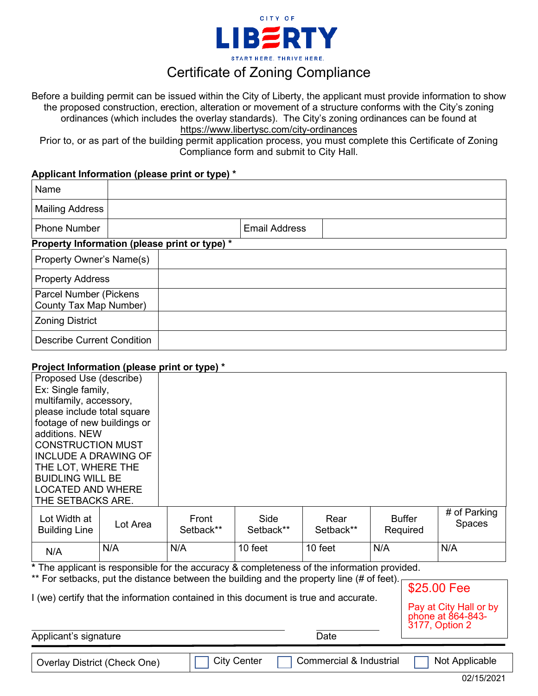

## Certificate of Zoning Compliance

Before a building permit can be issued within the City of Liberty, the applicant must provide information to show the proposed construction, erection, alteration or movement of a structure conforms with the City's zoning ordinances (which includes the overlay standards). The City's zoning ordinances can be found at <https://www.libertysc.com/city-ordinances>

Prior to, or as part of the building permit application process, you must complete this Certificate of Zoning Compliance form and submit to City Hall.

## **Applicant Information (please print or type) \***

| Name                                                     |                      |  |  |  |  |
|----------------------------------------------------------|----------------------|--|--|--|--|
| <b>Mailing Address</b>                                   |                      |  |  |  |  |
| <b>Phone Number</b>                                      | <b>Email Address</b> |  |  |  |  |
| Property Information (please print or type) *            |                      |  |  |  |  |
| <b>Property Owner's Name(s)</b>                          |                      |  |  |  |  |
| <b>Property Address</b>                                  |                      |  |  |  |  |
| <b>Parcel Number (Pickens)</b><br>County Tax Map Number) |                      |  |  |  |  |
| <b>Zoning District</b>                                   |                      |  |  |  |  |
| <b>Describe Current Condition</b>                        |                      |  |  |  |  |

## **Project Information (please print or type) \***

| Proposed Use (describe)                                                                                        |          |                    |                   |                   |                           |  |                               |
|----------------------------------------------------------------------------------------------------------------|----------|--------------------|-------------------|-------------------|---------------------------|--|-------------------------------|
| Ex: Single family,                                                                                             |          |                    |                   |                   |                           |  |                               |
| multifamily, accessory,                                                                                        |          |                    |                   |                   |                           |  |                               |
| please include total square                                                                                    |          |                    |                   |                   |                           |  |                               |
| footage of new buildings or                                                                                    |          |                    |                   |                   |                           |  |                               |
| additions, NEW                                                                                                 |          |                    |                   |                   |                           |  |                               |
| <b>CONSTRUCTION MUST</b>                                                                                       |          |                    |                   |                   |                           |  |                               |
| <b>INCLUDE A DRAWING OF</b>                                                                                    |          |                    |                   |                   |                           |  |                               |
| THE LOT, WHERE THE                                                                                             |          |                    |                   |                   |                           |  |                               |
| <b>BUIDLING WILL BE</b>                                                                                        |          |                    |                   |                   |                           |  |                               |
| <b>LOCATED AND WHERE</b>                                                                                       |          |                    |                   |                   |                           |  |                               |
| THE SETBACKS ARE.                                                                                              |          |                    |                   |                   |                           |  |                               |
| Lot Width at<br><b>Building Line</b>                                                                           | Lot Area | Front<br>Setback** | Side<br>Setback** | Rear<br>Setback** | <b>Buffer</b><br>Required |  | # of Parking<br><b>Spaces</b> |
| N/A                                                                                                            | N/A      | N/A                | 10 feet           | 10 feet           | N/A                       |  | N/A                           |
| * The applicant is responsible for the accuracy & completeness of the information provided.                    |          |                    |                   |                   |                           |  |                               |
| ** For setbacks, put the distance between the building and the property line (# of feet).                      |          |                    |                   |                   |                           |  |                               |
| \$25.00 Fee                                                                                                    |          |                    |                   |                   |                           |  |                               |
| I (we) certify that the information contained in this document is true and accurate.<br>Pay at City Hall or by |          |                    |                   |                   |                           |  |                               |

Applicant's signature **Date** Date **Date** 

phone at 864-843- 3177, Option 2